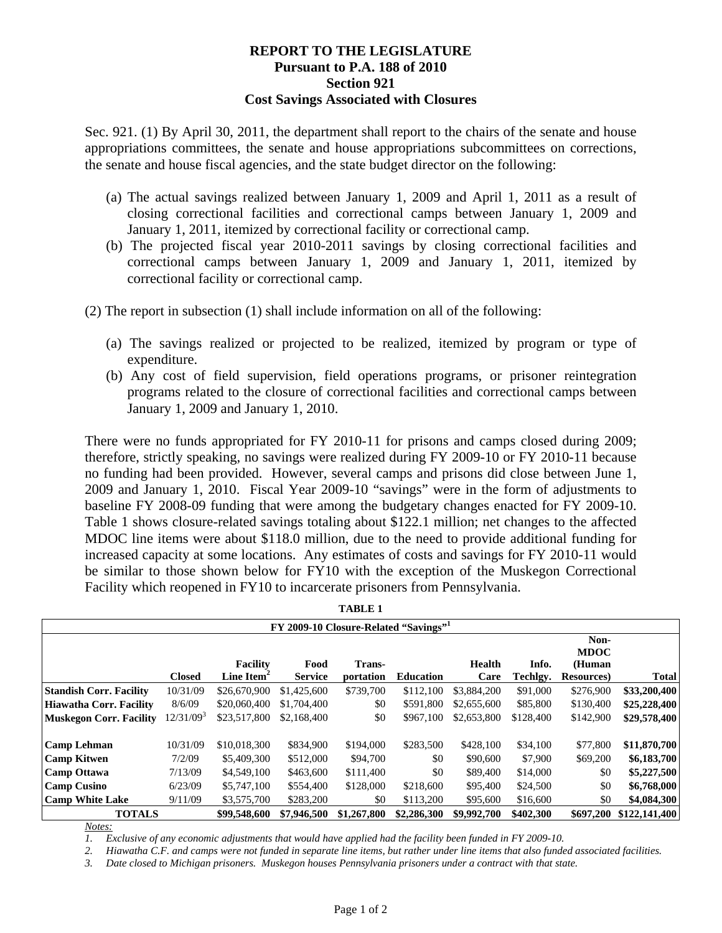## **REPORT TO THE LEGISLATURE Pursuant to P.A. 188 of 2010 Section 921 Cost Savings Associated with Closures**

Sec. 921. (1) By April 30, 2011, the department shall report to the chairs of the senate and house appropriations committees, the senate and house appropriations subcommittees on corrections, the senate and house fiscal agencies, and the state budget director on the following:

- (a) The actual savings realized between January 1, 2009 and April 1, 2011 as a result of closing correctional facilities and correctional camps between January 1, 2009 and January 1, 2011, itemized by correctional facility or correctional camp.
- (b) The projected fiscal year 2010-2011 savings by closing correctional facilities and correctional camps between January 1, 2009 and January 1, 2011, itemized by correctional facility or correctional camp.

(2) The report in subsection (1) shall include information on all of the following:

- (a) The savings realized or projected to be realized, itemized by program or type of expenditure.
- (b) Any cost of field supervision, field operations programs, or prisoner reintegration programs related to the closure of correctional facilities and correctional camps between January 1, 2009 and January 1, 2010.

There were no funds appropriated for FY 2010-11 for prisons and camps closed during 2009; therefore, strictly speaking, no savings were realized during FY 2009-10 or FY 2010-11 because no funding had been provided. However, several camps and prisons did close between June 1, 2009 and January 1, 2010. Fiscal Year 2009-10 "savings" were in the form of adjustments to baseline FY 2008-09 funding that were among the budgetary changes enacted for FY 2009-10. Table 1 shows closure-related savings totaling about \$122.1 million; net changes to the affected MDOC line items were about \$118.0 million, due to the need to provide additional funding for increased capacity at some locations. Any estimates of costs and savings for FY 2010-11 would be similar to those shown below for FY10 with the exception of the Muskegon Correctional Facility which reopened in FY10 to incarcerate prisoners from Pennsylvania.

**TABLE 1** 

| тарге і                                           |                       |                        |                |             |                  |               |           |                    |              |
|---------------------------------------------------|-----------------------|------------------------|----------------|-------------|------------------|---------------|-----------|--------------------|--------------|
| FY 2009-10 Closure-Related "Savings" <sup>1</sup> |                       |                        |                |             |                  |               |           |                    |              |
|                                                   |                       |                        |                |             |                  |               |           | Non-               |              |
|                                                   |                       |                        |                |             |                  |               |           | <b>MDOC</b>        |              |
|                                                   |                       | <b>Facility</b>        | Food           | Trans-      |                  | <b>Health</b> | Info.     | (Human             |              |
|                                                   | <b>Closed</b>         | Line Item <sup>-</sup> | <b>Service</b> | portation   | <b>Education</b> | Care          | Techlgy.  | <b>Resources</b> ) | <b>Total</b> |
| <b>Standish Corr. Facility</b>                    | 10/31/09              | \$26,670,900           | \$1,425,600    | \$739,700   | \$112,100        | \$3,884,200   | \$91,000  | \$276,900          | \$33,200,400 |
| Hiawatha Corr. Facility                           | 8/6/09                | \$20,060,400           | \$1,704,400    | \$0         | \$591,800        | \$2,655,600   | \$85,800  | \$130,400          | \$25,228,400 |
| <b>Muskegon Corr. Facility</b>                    | 12/31/09 <sup>3</sup> | \$23,517,800           | \$2,168,400    | \$0         | \$967,100        | \$2,653,800   | \$128,400 | \$142,900          | \$29,578,400 |
| Camp Lehman                                       | 10/31/09              | \$10,018,300           | \$834,900      | \$194,000   | \$283,500        | \$428,100     | \$34,100  | \$77,800           | \$11,870,700 |
| <b>Camp Kitwen</b>                                | 7/2/09                | \$5,409,300            | \$512,000      | \$94,700    | \$0              | \$90,600      | \$7,900   | \$69,200           | \$6,183,700  |
| Camp Ottawa                                       | 7/13/09               | \$4,549,100            | \$463,600      | \$111,400   | \$0              | \$89,400      | \$14,000  | \$0                | \$5,227,500  |
| Camp Cusino                                       | 6/23/09               | \$5,747,100            | \$554,400      | \$128,000   | \$218,600        | \$95,400      | \$24,500  | \$0                | \$6,768,000  |
| <b>Camp White Lake</b>                            | 9/11/09               | \$3,575,700            | \$283,200      | \$0         | \$113,200        | \$95,600      | \$16,600  | \$0                | \$4,084,300  |
| <b>TOTALS</b><br>\$99,548,600                     |                       | \$7,946,500            | \$1,267,800    | \$2,286,300 | \$9,992,700      | \$402,300     | \$697,200 | \$122,141,400      |              |

*Notes:*

*1. Exclusive of any economic adjustments that would have applied had the facility been funded in FY 2009-10.* 

*2. Hiawatha C.F. and camps were not funded in separate line items, but rather under line items that also funded associated facilities.* 

*3. Date closed to Michigan prisoners. Muskegon houses Pennsylvania prisoners under a contract with that state.*